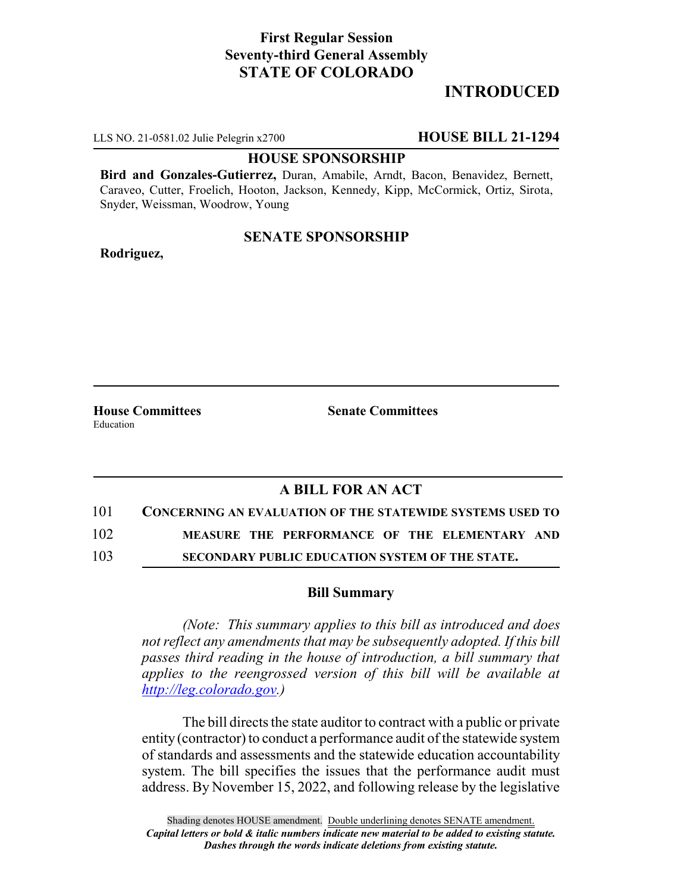# **First Regular Session Seventy-third General Assembly STATE OF COLORADO**

# **INTRODUCED**

LLS NO. 21-0581.02 Julie Pelegrin x2700 **HOUSE BILL 21-1294**

#### **HOUSE SPONSORSHIP**

**Bird and Gonzales-Gutierrez,** Duran, Amabile, Arndt, Bacon, Benavidez, Bernett, Caraveo, Cutter, Froelich, Hooton, Jackson, Kennedy, Kipp, McCormick, Ortiz, Sirota, Snyder, Weissman, Woodrow, Young

### **SENATE SPONSORSHIP**

**Rodriguez,**

**House Committees Senate Committees** Education

## **A BILL FOR AN ACT**

# 101 **CONCERNING AN EVALUATION OF THE STATEWIDE SYSTEMS USED TO**

102 **MEASURE THE PERFORMANCE OF THE ELEMENTARY AND**

103 **SECONDARY PUBLIC EDUCATION SYSTEM OF THE STATE.**

#### **Bill Summary**

*(Note: This summary applies to this bill as introduced and does not reflect any amendments that may be subsequently adopted. If this bill passes third reading in the house of introduction, a bill summary that applies to the reengrossed version of this bill will be available at http://leg.colorado.gov.)*

The bill directs the state auditor to contract with a public or private entity (contractor) to conduct a performance audit of the statewide system of standards and assessments and the statewide education accountability system. The bill specifies the issues that the performance audit must address. By November 15, 2022, and following release by the legislative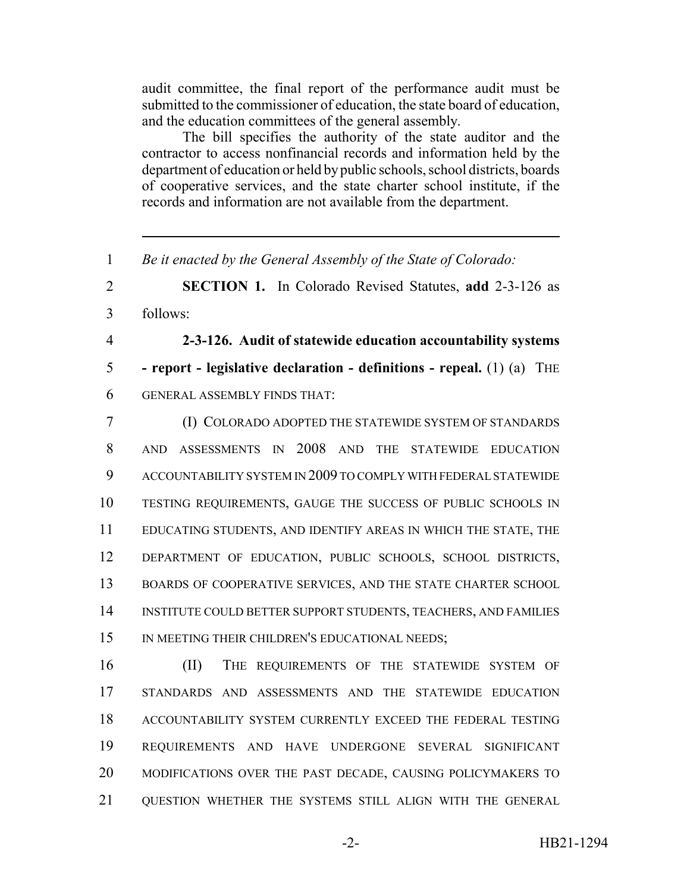audit committee, the final report of the performance audit must be submitted to the commissioner of education, the state board of education, and the education committees of the general assembly.

The bill specifies the authority of the state auditor and the contractor to access nonfinancial records and information held by the department of education or held by public schools, school districts, boards of cooperative services, and the state charter school institute, if the records and information are not available from the department.

*Be it enacted by the General Assembly of the State of Colorado:*

 **SECTION 1.** In Colorado Revised Statutes, **add** 2-3-126 as follows:

 **2-3-126. Audit of statewide education accountability systems - report - legislative declaration - definitions - repeal.** (1) (a) THE GENERAL ASSEMBLY FINDS THAT:

 (I) COLORADO ADOPTED THE STATEWIDE SYSTEM OF STANDARDS AND ASSESSMENTS IN 2008 AND THE STATEWIDE EDUCATION ACCOUNTABILITY SYSTEM IN 2009 TO COMPLY WITH FEDERAL STATEWIDE TESTING REQUIREMENTS, GAUGE THE SUCCESS OF PUBLIC SCHOOLS IN EDUCATING STUDENTS, AND IDENTIFY AREAS IN WHICH THE STATE, THE DEPARTMENT OF EDUCATION, PUBLIC SCHOOLS, SCHOOL DISTRICTS, 13 BOARDS OF COOPERATIVE SERVICES, AND THE STATE CHARTER SCHOOL INSTITUTE COULD BETTER SUPPORT STUDENTS, TEACHERS, AND FAMILIES 15 IN MEETING THEIR CHILDREN'S EDUCATIONAL NEEDS;

 (II) THE REQUIREMENTS OF THE STATEWIDE SYSTEM OF STANDARDS AND ASSESSMENTS AND THE STATEWIDE EDUCATION ACCOUNTABILITY SYSTEM CURRENTLY EXCEED THE FEDERAL TESTING REQUIREMENTS AND HAVE UNDERGONE SEVERAL SIGNIFICANT MODIFICATIONS OVER THE PAST DECADE, CAUSING POLICYMAKERS TO QUESTION WHETHER THE SYSTEMS STILL ALIGN WITH THE GENERAL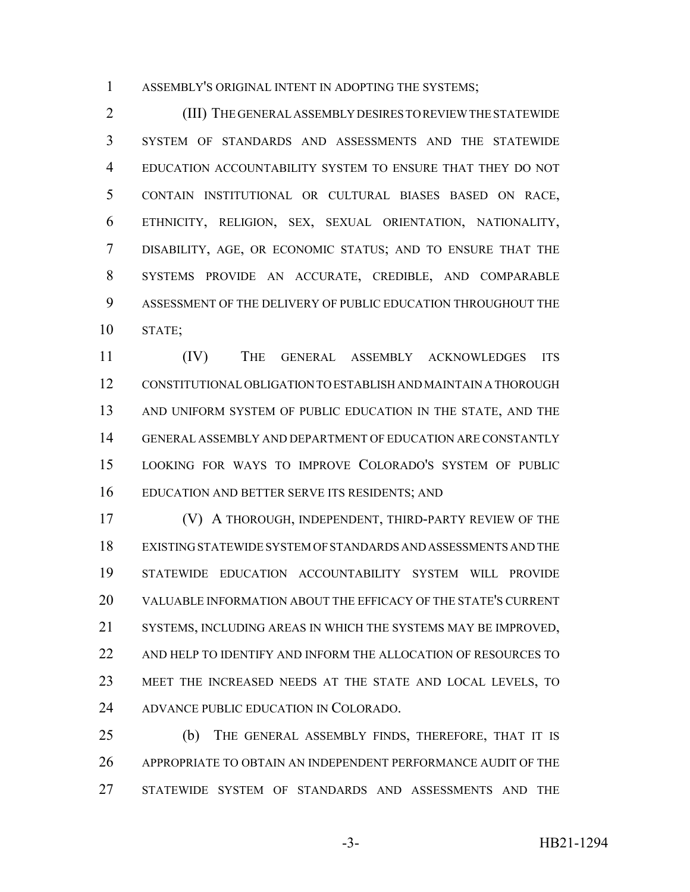ASSEMBLY'S ORIGINAL INTENT IN ADOPTING THE SYSTEMS;

 (III) THE GENERAL ASSEMBLY DESIRES TO REVIEW THE STATEWIDE SYSTEM OF STANDARDS AND ASSESSMENTS AND THE STATEWIDE EDUCATION ACCOUNTABILITY SYSTEM TO ENSURE THAT THEY DO NOT CONTAIN INSTITUTIONAL OR CULTURAL BIASES BASED ON RACE, ETHNICITY, RELIGION, SEX, SEXUAL ORIENTATION, NATIONALITY, DISABILITY, AGE, OR ECONOMIC STATUS; AND TO ENSURE THAT THE SYSTEMS PROVIDE AN ACCURATE, CREDIBLE, AND COMPARABLE ASSESSMENT OF THE DELIVERY OF PUBLIC EDUCATION THROUGHOUT THE STATE;

 (IV) THE GENERAL ASSEMBLY ACKNOWLEDGES ITS CONSTITUTIONAL OBLIGATION TO ESTABLISH AND MAINTAIN A THOROUGH 13 AND UNIFORM SYSTEM OF PUBLIC EDUCATION IN THE STATE, AND THE GENERAL ASSEMBLY AND DEPARTMENT OF EDUCATION ARE CONSTANTLY LOOKING FOR WAYS TO IMPROVE COLORADO'S SYSTEM OF PUBLIC EDUCATION AND BETTER SERVE ITS RESIDENTS; AND

 (V) A THOROUGH, INDEPENDENT, THIRD-PARTY REVIEW OF THE EXISTING STATEWIDE SYSTEM OF STANDARDS AND ASSESSMENTS AND THE STATEWIDE EDUCATION ACCOUNTABILITY SYSTEM WILL PROVIDE VALUABLE INFORMATION ABOUT THE EFFICACY OF THE STATE'S CURRENT SYSTEMS, INCLUDING AREAS IN WHICH THE SYSTEMS MAY BE IMPROVED, AND HELP TO IDENTIFY AND INFORM THE ALLOCATION OF RESOURCES TO MEET THE INCREASED NEEDS AT THE STATE AND LOCAL LEVELS, TO ADVANCE PUBLIC EDUCATION IN COLORADO.

 (b) THE GENERAL ASSEMBLY FINDS, THEREFORE, THAT IT IS APPROPRIATE TO OBTAIN AN INDEPENDENT PERFORMANCE AUDIT OF THE STATEWIDE SYSTEM OF STANDARDS AND ASSESSMENTS AND THE

-3- HB21-1294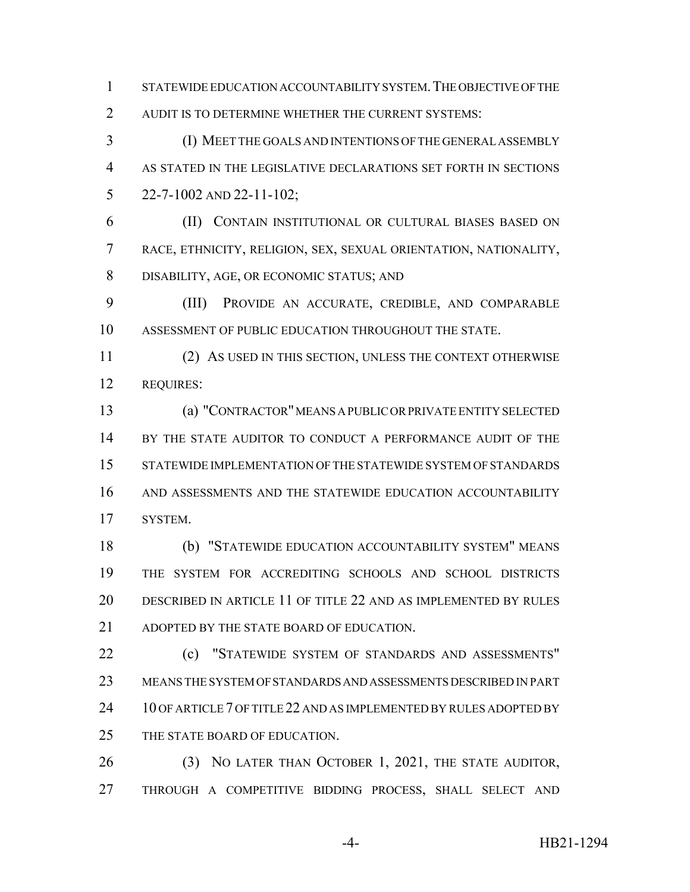STATEWIDE EDUCATION ACCOUNTABILITY SYSTEM.THE OBJECTIVE OF THE AUDIT IS TO DETERMINE WHETHER THE CURRENT SYSTEMS:

 (I) MEET THE GOALS AND INTENTIONS OF THE GENERAL ASSEMBLY AS STATED IN THE LEGISLATIVE DECLARATIONS SET FORTH IN SECTIONS 22-7-1002 AND 22-11-102;

 (II) CONTAIN INSTITUTIONAL OR CULTURAL BIASES BASED ON RACE, ETHNICITY, RELIGION, SEX, SEXUAL ORIENTATION, NATIONALITY, DISABILITY, AGE, OR ECONOMIC STATUS; AND

 (III) PROVIDE AN ACCURATE, CREDIBLE, AND COMPARABLE ASSESSMENT OF PUBLIC EDUCATION THROUGHOUT THE STATE.

 (2) AS USED IN THIS SECTION, UNLESS THE CONTEXT OTHERWISE REQUIRES:

 (a) "CONTRACTOR" MEANS A PUBLIC OR PRIVATE ENTITY SELECTED 14 BY THE STATE AUDITOR TO CONDUCT A PERFORMANCE AUDIT OF THE STATEWIDE IMPLEMENTATION OF THE STATEWIDE SYSTEM OF STANDARDS AND ASSESSMENTS AND THE STATEWIDE EDUCATION ACCOUNTABILITY SYSTEM.

 (b) "STATEWIDE EDUCATION ACCOUNTABILITY SYSTEM" MEANS THE SYSTEM FOR ACCREDITING SCHOOLS AND SCHOOL DISTRICTS DESCRIBED IN ARTICLE 11 OF TITLE 22 AND AS IMPLEMENTED BY RULES 21 ADOPTED BY THE STATE BOARD OF EDUCATION.

22 (c) "STATEWIDE SYSTEM OF STANDARDS AND ASSESSMENTS" MEANS THE SYSTEM OF STANDARDS AND ASSESSMENTS DESCRIBED IN PART 24 10 OF ARTICLE 7 OF TITLE 22 AND AS IMPLEMENTED BY RULES ADOPTED BY THE STATE BOARD OF EDUCATION.

 (3) NO LATER THAN OCTOBER 1, 2021, THE STATE AUDITOR, THROUGH A COMPETITIVE BIDDING PROCESS, SHALL SELECT AND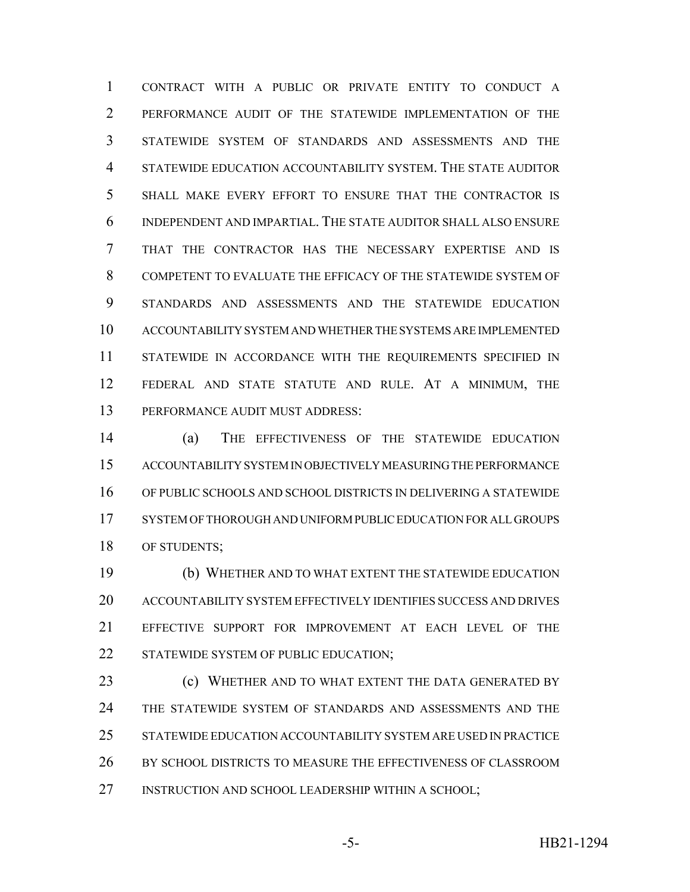CONTRACT WITH A PUBLIC OR PRIVATE ENTITY TO CONDUCT A PERFORMANCE AUDIT OF THE STATEWIDE IMPLEMENTATION OF THE STATEWIDE SYSTEM OF STANDARDS AND ASSESSMENTS AND THE STATEWIDE EDUCATION ACCOUNTABILITY SYSTEM. THE STATE AUDITOR SHALL MAKE EVERY EFFORT TO ENSURE THAT THE CONTRACTOR IS INDEPENDENT AND IMPARTIAL. THE STATE AUDITOR SHALL ALSO ENSURE THAT THE CONTRACTOR HAS THE NECESSARY EXPERTISE AND IS COMPETENT TO EVALUATE THE EFFICACY OF THE STATEWIDE SYSTEM OF STANDARDS AND ASSESSMENTS AND THE STATEWIDE EDUCATION ACCOUNTABILITY SYSTEM AND WHETHER THE SYSTEMS ARE IMPLEMENTED 11 STATEWIDE IN ACCORDANCE WITH THE REQUIREMENTS SPECIFIED IN FEDERAL AND STATE STATUTE AND RULE. AT A MINIMUM, THE PERFORMANCE AUDIT MUST ADDRESS:

 (a) THE EFFECTIVENESS OF THE STATEWIDE EDUCATION ACCOUNTABILITY SYSTEM IN OBJECTIVELY MEASURING THE PERFORMANCE OF PUBLIC SCHOOLS AND SCHOOL DISTRICTS IN DELIVERING A STATEWIDE SYSTEM OF THOROUGH AND UNIFORM PUBLIC EDUCATION FOR ALL GROUPS OF STUDENTS;

 (b) WHETHER AND TO WHAT EXTENT THE STATEWIDE EDUCATION ACCOUNTABILITY SYSTEM EFFECTIVELY IDENTIFIES SUCCESS AND DRIVES EFFECTIVE SUPPORT FOR IMPROVEMENT AT EACH LEVEL OF THE 22 STATEWIDE SYSTEM OF PUBLIC EDUCATION;

**(c) WHETHER AND TO WHAT EXTENT THE DATA GENERATED BY**  THE STATEWIDE SYSTEM OF STANDARDS AND ASSESSMENTS AND THE STATEWIDE EDUCATION ACCOUNTABILITY SYSTEM ARE USED IN PRACTICE BY SCHOOL DISTRICTS TO MEASURE THE EFFECTIVENESS OF CLASSROOM INSTRUCTION AND SCHOOL LEADERSHIP WITHIN A SCHOOL;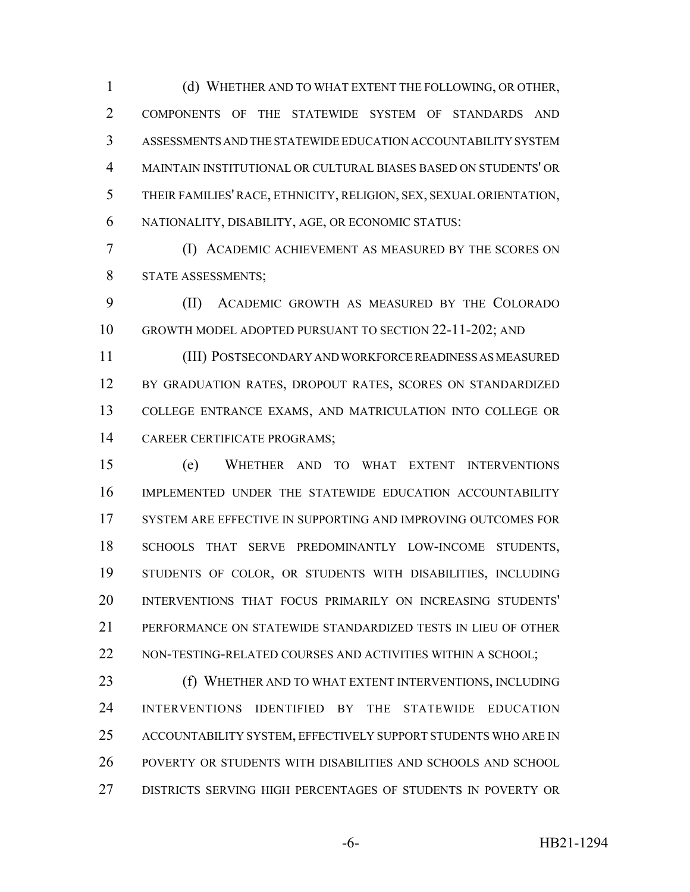(d) WHETHER AND TO WHAT EXTENT THE FOLLOWING, OR OTHER, COMPONENTS OF THE STATEWIDE SYSTEM OF STANDARDS AND ASSESSMENTS AND THE STATEWIDE EDUCATION ACCOUNTABILITY SYSTEM MAINTAIN INSTITUTIONAL OR CULTURAL BIASES BASED ON STUDENTS' OR THEIR FAMILIES' RACE, ETHNICITY, RELIGION, SEX, SEXUAL ORIENTATION, NATIONALITY, DISABILITY, AGE, OR ECONOMIC STATUS:

 (I) ACADEMIC ACHIEVEMENT AS MEASURED BY THE SCORES ON STATE ASSESSMENTS;

 (II) ACADEMIC GROWTH AS MEASURED BY THE COLORADO GROWTH MODEL ADOPTED PURSUANT TO SECTION 22-11-202; AND

 (III) POSTSECONDARY AND WORKFORCE READINESS AS MEASURED 12 BY GRADUATION RATES, DROPOUT RATES, SCORES ON STANDARDIZED COLLEGE ENTRANCE EXAMS, AND MATRICULATION INTO COLLEGE OR CAREER CERTIFICATE PROGRAMS;

 (e) WHETHER AND TO WHAT EXTENT INTERVENTIONS IMPLEMENTED UNDER THE STATEWIDE EDUCATION ACCOUNTABILITY 17 SYSTEM ARE EFFECTIVE IN SUPPORTING AND IMPROVING OUTCOMES FOR SCHOOLS THAT SERVE PREDOMINANTLY LOW-INCOME STUDENTS, STUDENTS OF COLOR, OR STUDENTS WITH DISABILITIES, INCLUDING INTERVENTIONS THAT FOCUS PRIMARILY ON INCREASING STUDENTS' PERFORMANCE ON STATEWIDE STANDARDIZED TESTS IN LIEU OF OTHER 22 NON-TESTING-RELATED COURSES AND ACTIVITIES WITHIN A SCHOOL;

**(f) WHETHER AND TO WHAT EXTENT INTERVENTIONS, INCLUDING**  INTERVENTIONS IDENTIFIED BY THE STATEWIDE EDUCATION ACCOUNTABILITY SYSTEM, EFFECTIVELY SUPPORT STUDENTS WHO ARE IN POVERTY OR STUDENTS WITH DISABILITIES AND SCHOOLS AND SCHOOL DISTRICTS SERVING HIGH PERCENTAGES OF STUDENTS IN POVERTY OR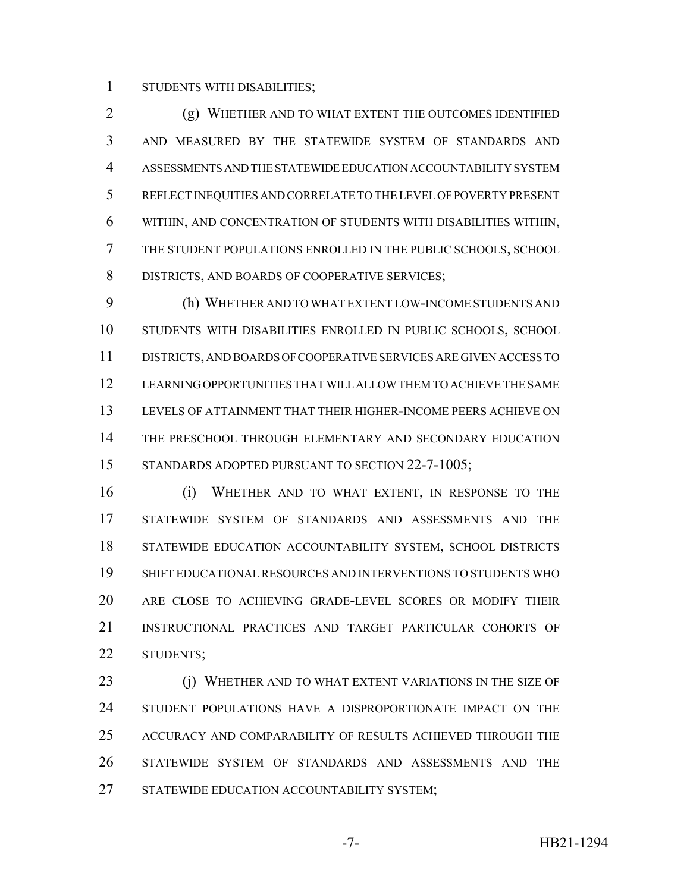STUDENTS WITH DISABILITIES;

 (g) WHETHER AND TO WHAT EXTENT THE OUTCOMES IDENTIFIED AND MEASURED BY THE STATEWIDE SYSTEM OF STANDARDS AND ASSESSMENTS AND THE STATEWIDE EDUCATION ACCOUNTABILITY SYSTEM REFLECT INEQUITIES AND CORRELATE TO THE LEVEL OF POVERTY PRESENT WITHIN, AND CONCENTRATION OF STUDENTS WITH DISABILITIES WITHIN, THE STUDENT POPULATIONS ENROLLED IN THE PUBLIC SCHOOLS, SCHOOL 8 DISTRICTS, AND BOARDS OF COOPERATIVE SERVICES;

 (h) WHETHER AND TO WHAT EXTENT LOW-INCOME STUDENTS AND STUDENTS WITH DISABILITIES ENROLLED IN PUBLIC SCHOOLS, SCHOOL DISTRICTS, AND BOARDS OF COOPERATIVE SERVICES ARE GIVEN ACCESS TO LEARNING OPPORTUNITIES THAT WILL ALLOW THEM TO ACHIEVE THE SAME LEVELS OF ATTAINMENT THAT THEIR HIGHER-INCOME PEERS ACHIEVE ON THE PRESCHOOL THROUGH ELEMENTARY AND SECONDARY EDUCATION 15 STANDARDS ADOPTED PURSUANT TO SECTION 22-7-1005;

 (i) WHETHER AND TO WHAT EXTENT, IN RESPONSE TO THE STATEWIDE SYSTEM OF STANDARDS AND ASSESSMENTS AND THE STATEWIDE EDUCATION ACCOUNTABILITY SYSTEM, SCHOOL DISTRICTS SHIFT EDUCATIONAL RESOURCES AND INTERVENTIONS TO STUDENTS WHO ARE CLOSE TO ACHIEVING GRADE-LEVEL SCORES OR MODIFY THEIR INSTRUCTIONAL PRACTICES AND TARGET PARTICULAR COHORTS OF STUDENTS;

 (j) WHETHER AND TO WHAT EXTENT VARIATIONS IN THE SIZE OF STUDENT POPULATIONS HAVE A DISPROPORTIONATE IMPACT ON THE ACCURACY AND COMPARABILITY OF RESULTS ACHIEVED THROUGH THE STATEWIDE SYSTEM OF STANDARDS AND ASSESSMENTS AND THE 27 STATEWIDE EDUCATION ACCOUNTABILITY SYSTEM;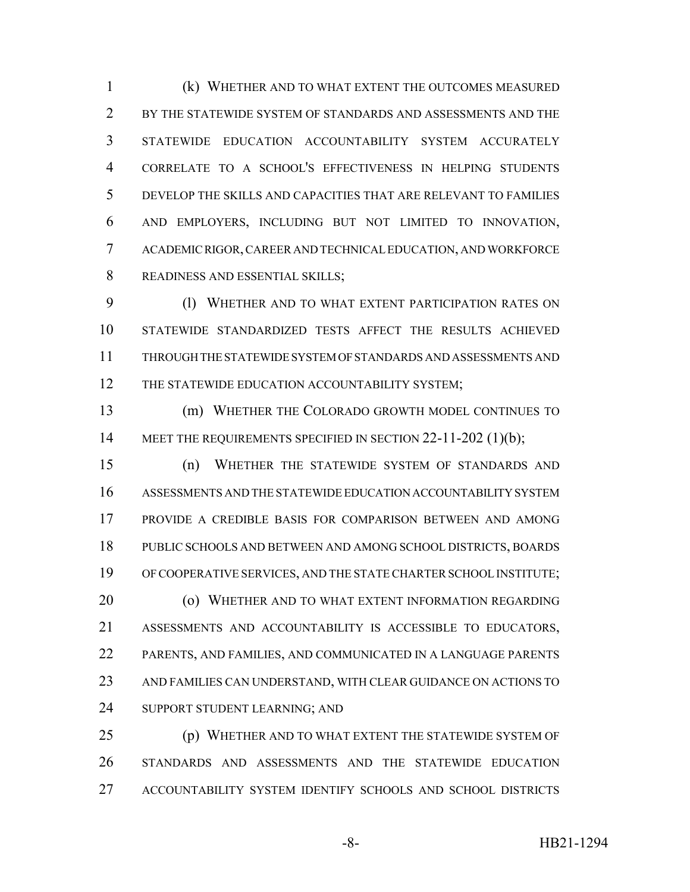(k) WHETHER AND TO WHAT EXTENT THE OUTCOMES MEASURED BY THE STATEWIDE SYSTEM OF STANDARDS AND ASSESSMENTS AND THE STATEWIDE EDUCATION ACCOUNTABILITY SYSTEM ACCURATELY CORRELATE TO A SCHOOL'S EFFECTIVENESS IN HELPING STUDENTS DEVELOP THE SKILLS AND CAPACITIES THAT ARE RELEVANT TO FAMILIES AND EMPLOYERS, INCLUDING BUT NOT LIMITED TO INNOVATION, ACADEMIC RIGOR, CAREER AND TECHNICAL EDUCATION, AND WORKFORCE READINESS AND ESSENTIAL SKILLS;

 (l) WHETHER AND TO WHAT EXTENT PARTICIPATION RATES ON STATEWIDE STANDARDIZED TESTS AFFECT THE RESULTS ACHIEVED THROUGH THE STATEWIDE SYSTEM OF STANDARDS AND ASSESSMENTS AND 12 THE STATEWIDE EDUCATION ACCOUNTABILITY SYSTEM;

 (m) WHETHER THE COLORADO GROWTH MODEL CONTINUES TO 14 MEET THE REQUIREMENTS SPECIFIED IN SECTION 22-11-202 (1)(b);

 (n) WHETHER THE STATEWIDE SYSTEM OF STANDARDS AND ASSESSMENTS AND THE STATEWIDE EDUCATION ACCOUNTABILITY SYSTEM PROVIDE A CREDIBLE BASIS FOR COMPARISON BETWEEN AND AMONG PUBLIC SCHOOLS AND BETWEEN AND AMONG SCHOOL DISTRICTS, BOARDS OF COOPERATIVE SERVICES, AND THE STATE CHARTER SCHOOL INSTITUTE; **(o) WHETHER AND TO WHAT EXTENT INFORMATION REGARDING**  ASSESSMENTS AND ACCOUNTABILITY IS ACCESSIBLE TO EDUCATORS, PARENTS, AND FAMILIES, AND COMMUNICATED IN A LANGUAGE PARENTS AND FAMILIES CAN UNDERSTAND, WITH CLEAR GUIDANCE ON ACTIONS TO SUPPORT STUDENT LEARNING; AND

 (p) WHETHER AND TO WHAT EXTENT THE STATEWIDE SYSTEM OF STANDARDS AND ASSESSMENTS AND THE STATEWIDE EDUCATION ACCOUNTABILITY SYSTEM IDENTIFY SCHOOLS AND SCHOOL DISTRICTS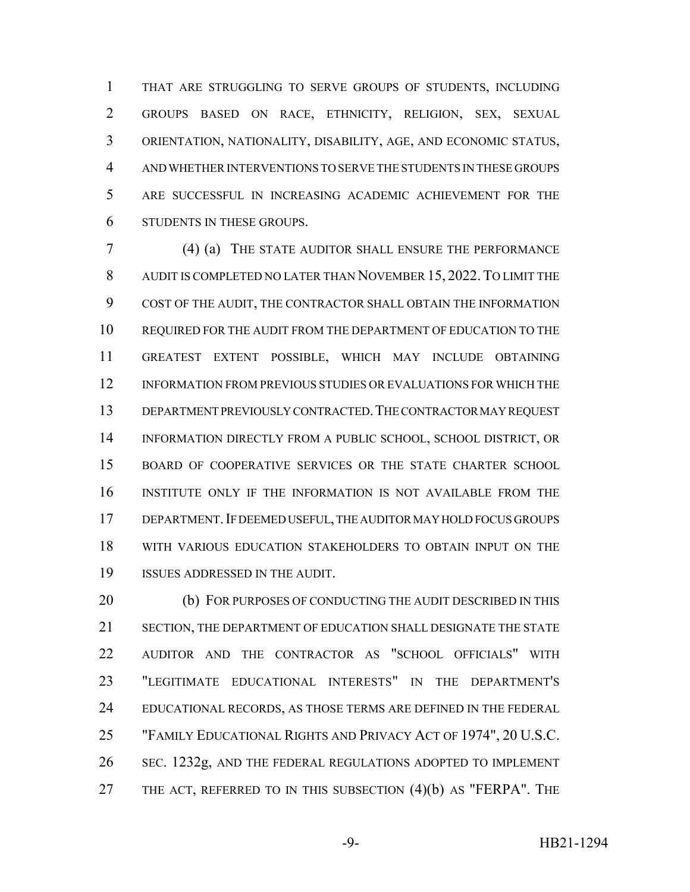THAT ARE STRUGGLING TO SERVE GROUPS OF STUDENTS, INCLUDING GROUPS BASED ON RACE, ETHNICITY, RELIGION, SEX, SEXUAL ORIENTATION, NATIONALITY, DISABILITY, AGE, AND ECONOMIC STATUS, AND WHETHER INTERVENTIONS TO SERVE THE STUDENTS IN THESE GROUPS ARE SUCCESSFUL IN INCREASING ACADEMIC ACHIEVEMENT FOR THE STUDENTS IN THESE GROUPS.

 (4) (a) THE STATE AUDITOR SHALL ENSURE THE PERFORMANCE AUDIT IS COMPLETED NO LATER THAN NOVEMBER 15, 2022. TO LIMIT THE COST OF THE AUDIT, THE CONTRACTOR SHALL OBTAIN THE INFORMATION REQUIRED FOR THE AUDIT FROM THE DEPARTMENT OF EDUCATION TO THE GREATEST EXTENT POSSIBLE, WHICH MAY INCLUDE OBTAINING INFORMATION FROM PREVIOUS STUDIES OR EVALUATIONS FOR WHICH THE DEPARTMENT PREVIOUSLY CONTRACTED.THE CONTRACTOR MAY REQUEST INFORMATION DIRECTLY FROM A PUBLIC SCHOOL, SCHOOL DISTRICT, OR BOARD OF COOPERATIVE SERVICES OR THE STATE CHARTER SCHOOL INSTITUTE ONLY IF THE INFORMATION IS NOT AVAILABLE FROM THE DEPARTMENT.IF DEEMED USEFUL, THE AUDITOR MAY HOLD FOCUS GROUPS WITH VARIOUS EDUCATION STAKEHOLDERS TO OBTAIN INPUT ON THE ISSUES ADDRESSED IN THE AUDIT.

20 (b) FOR PURPOSES OF CONDUCTING THE AUDIT DESCRIBED IN THIS SECTION, THE DEPARTMENT OF EDUCATION SHALL DESIGNATE THE STATE AUDITOR AND THE CONTRACTOR AS "SCHOOL OFFICIALS" WITH "LEGITIMATE EDUCATIONAL INTERESTS" IN THE DEPARTMENT'S 24 EDUCATIONAL RECORDS, AS THOSE TERMS ARE DEFINED IN THE FEDERAL "FAMILY EDUCATIONAL RIGHTS AND PRIVACY ACT OF 1974", 20 U.S.C. SEC. 1232g, AND THE FEDERAL REGULATIONS ADOPTED TO IMPLEMENT THE ACT, REFERRED TO IN THIS SUBSECTION (4)(b) AS "FERPA". THE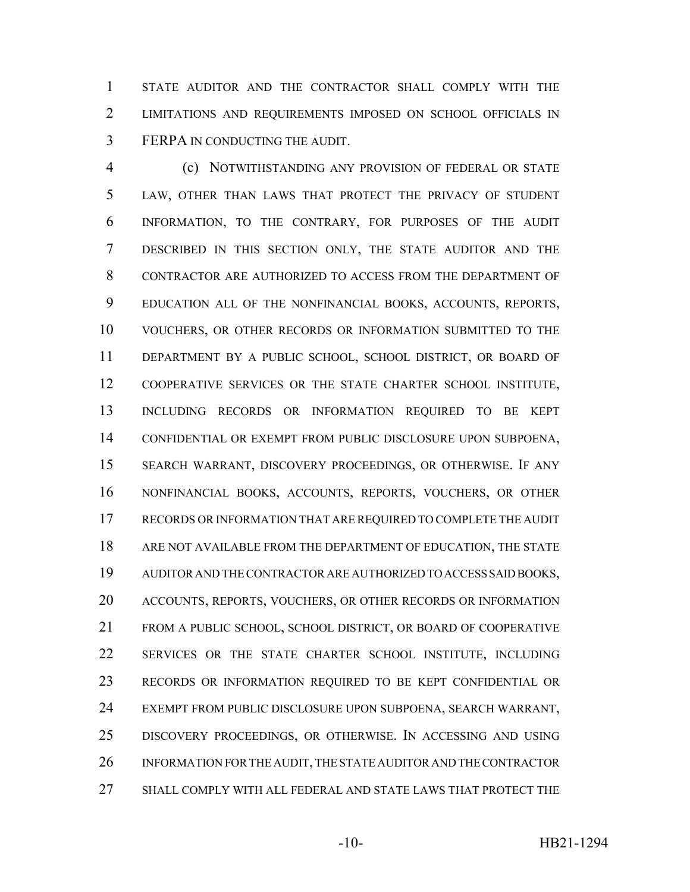STATE AUDITOR AND THE CONTRACTOR SHALL COMPLY WITH THE LIMITATIONS AND REQUIREMENTS IMPOSED ON SCHOOL OFFICIALS IN FERPA IN CONDUCTING THE AUDIT.

 (c) NOTWITHSTANDING ANY PROVISION OF FEDERAL OR STATE LAW, OTHER THAN LAWS THAT PROTECT THE PRIVACY OF STUDENT INFORMATION, TO THE CONTRARY, FOR PURPOSES OF THE AUDIT DESCRIBED IN THIS SECTION ONLY, THE STATE AUDITOR AND THE CONTRACTOR ARE AUTHORIZED TO ACCESS FROM THE DEPARTMENT OF EDUCATION ALL OF THE NONFINANCIAL BOOKS, ACCOUNTS, REPORTS, VOUCHERS, OR OTHER RECORDS OR INFORMATION SUBMITTED TO THE DEPARTMENT BY A PUBLIC SCHOOL, SCHOOL DISTRICT, OR BOARD OF COOPERATIVE SERVICES OR THE STATE CHARTER SCHOOL INSTITUTE, INCLUDING RECORDS OR INFORMATION REQUIRED TO BE KEPT CONFIDENTIAL OR EXEMPT FROM PUBLIC DISCLOSURE UPON SUBPOENA, SEARCH WARRANT, DISCOVERY PROCEEDINGS, OR OTHERWISE. IF ANY NONFINANCIAL BOOKS, ACCOUNTS, REPORTS, VOUCHERS, OR OTHER RECORDS OR INFORMATION THAT ARE REQUIRED TO COMPLETE THE AUDIT ARE NOT AVAILABLE FROM THE DEPARTMENT OF EDUCATION, THE STATE AUDITOR AND THE CONTRACTOR ARE AUTHORIZED TO ACCESS SAID BOOKS, ACCOUNTS, REPORTS, VOUCHERS, OR OTHER RECORDS OR INFORMATION FROM A PUBLIC SCHOOL, SCHOOL DISTRICT, OR BOARD OF COOPERATIVE SERVICES OR THE STATE CHARTER SCHOOL INSTITUTE, INCLUDING RECORDS OR INFORMATION REQUIRED TO BE KEPT CONFIDENTIAL OR EXEMPT FROM PUBLIC DISCLOSURE UPON SUBPOENA, SEARCH WARRANT, DISCOVERY PROCEEDINGS, OR OTHERWISE. IN ACCESSING AND USING INFORMATION FOR THE AUDIT, THE STATE AUDITOR AND THE CONTRACTOR SHALL COMPLY WITH ALL FEDERAL AND STATE LAWS THAT PROTECT THE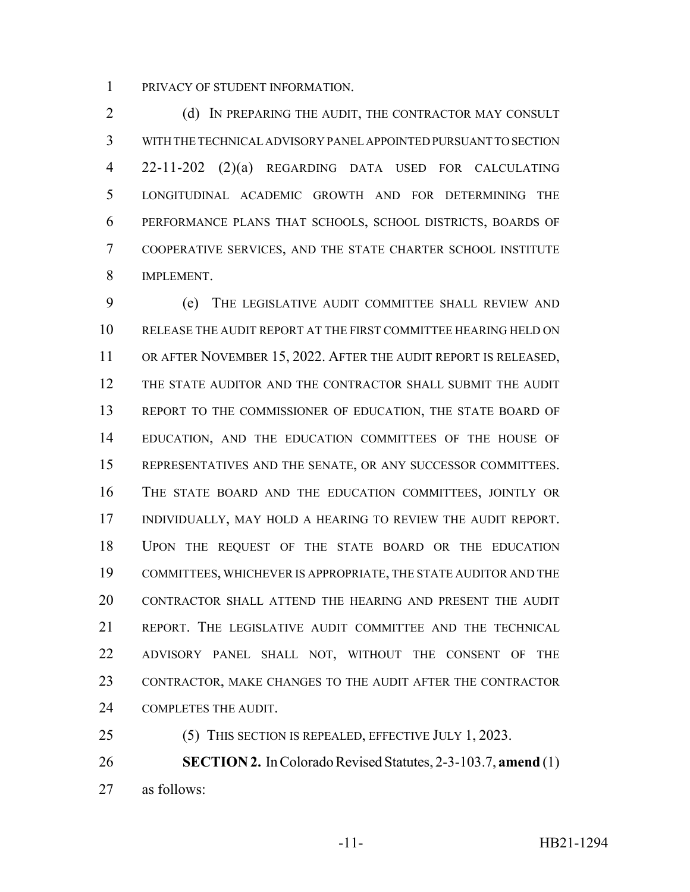PRIVACY OF STUDENT INFORMATION.

2 (d) IN PREPARING THE AUDIT, THE CONTRACTOR MAY CONSULT WITH THE TECHNICAL ADVISORY PANEL APPOINTED PURSUANT TO SECTION 22-11-202 (2)(a) REGARDING DATA USED FOR CALCULATING LONGITUDINAL ACADEMIC GROWTH AND FOR DETERMINING THE PERFORMANCE PLANS THAT SCHOOLS, SCHOOL DISTRICTS, BOARDS OF COOPERATIVE SERVICES, AND THE STATE CHARTER SCHOOL INSTITUTE IMPLEMENT.

 (e) THE LEGISLATIVE AUDIT COMMITTEE SHALL REVIEW AND RELEASE THE AUDIT REPORT AT THE FIRST COMMITTEE HEARING HELD ON OR AFTER NOVEMBER 15, 2022. AFTER THE AUDIT REPORT IS RELEASED, THE STATE AUDITOR AND THE CONTRACTOR SHALL SUBMIT THE AUDIT 13 REPORT TO THE COMMISSIONER OF EDUCATION, THE STATE BOARD OF EDUCATION, AND THE EDUCATION COMMITTEES OF THE HOUSE OF REPRESENTATIVES AND THE SENATE, OR ANY SUCCESSOR COMMITTEES. THE STATE BOARD AND THE EDUCATION COMMITTEES, JOINTLY OR INDIVIDUALLY, MAY HOLD A HEARING TO REVIEW THE AUDIT REPORT. UPON THE REQUEST OF THE STATE BOARD OR THE EDUCATION COMMITTEES, WHICHEVER IS APPROPRIATE, THE STATE AUDITOR AND THE CONTRACTOR SHALL ATTEND THE HEARING AND PRESENT THE AUDIT REPORT. THE LEGISLATIVE AUDIT COMMITTEE AND THE TECHNICAL ADVISORY PANEL SHALL NOT, WITHOUT THE CONSENT OF THE CONTRACTOR, MAKE CHANGES TO THE AUDIT AFTER THE CONTRACTOR COMPLETES THE AUDIT.

(5) THIS SECTION IS REPEALED, EFFECTIVE JULY 1, 2023.

 **SECTION 2.** In Colorado Revised Statutes, 2-3-103.7, **amend** (1) as follows: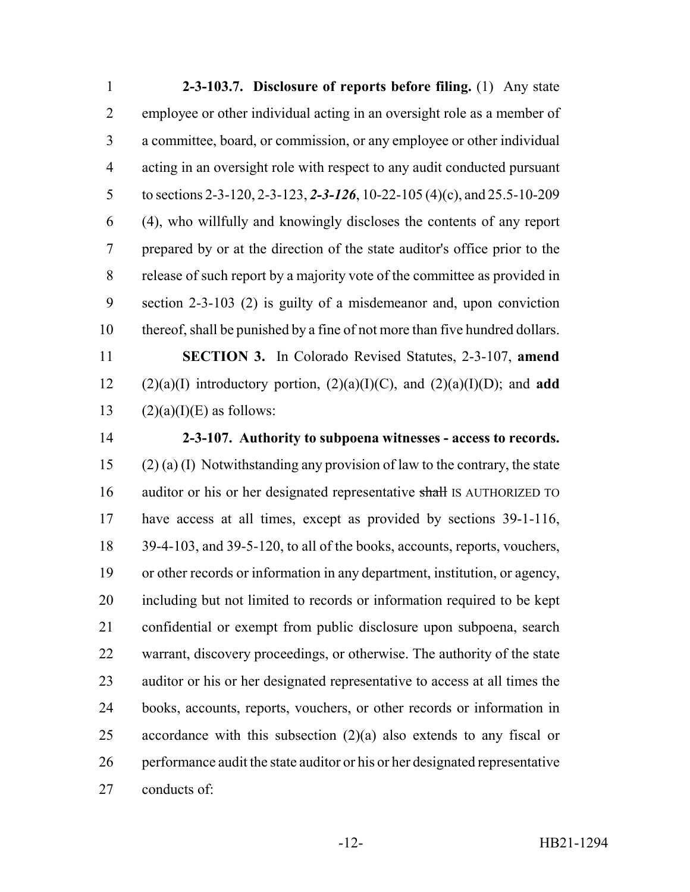**2-3-103.7. Disclosure of reports before filing.** (1) Any state employee or other individual acting in an oversight role as a member of a committee, board, or commission, or any employee or other individual acting in an oversight role with respect to any audit conducted pursuant to sections 2-3-120, 2-3-123, *2-3-126*, 10-22-105 (4)(c), and 25.5-10-209 (4), who willfully and knowingly discloses the contents of any report prepared by or at the direction of the state auditor's office prior to the release of such report by a majority vote of the committee as provided in section 2-3-103 (2) is guilty of a misdemeanor and, upon conviction thereof, shall be punished by a fine of not more than five hundred dollars. **SECTION 3.** In Colorado Revised Statutes, 2-3-107, **amend** 12 (2)(a)(I) introductory portion,  $(2)(a)(I)(C)$ , and  $(2)(a)(I)(D)$ ; and **add** 

13  $(2)(a)(I)(E)$  as follows:

 **2-3-107. Authority to subpoena witnesses - access to records.** (2) (a) (I) Notwithstanding any provision of law to the contrary, the state 16 auditor or his or her designated representative shall IS AUTHORIZED TO have access at all times, except as provided by sections 39-1-116, 18 39-4-103, and 39-5-120, to all of the books, accounts, reports, vouchers, or other records or information in any department, institution, or agency, including but not limited to records or information required to be kept confidential or exempt from public disclosure upon subpoena, search warrant, discovery proceedings, or otherwise. The authority of the state auditor or his or her designated representative to access at all times the books, accounts, reports, vouchers, or other records or information in 25 accordance with this subsection  $(2)(a)$  also extends to any fiscal or performance audit the state auditor or his or her designated representative conducts of: